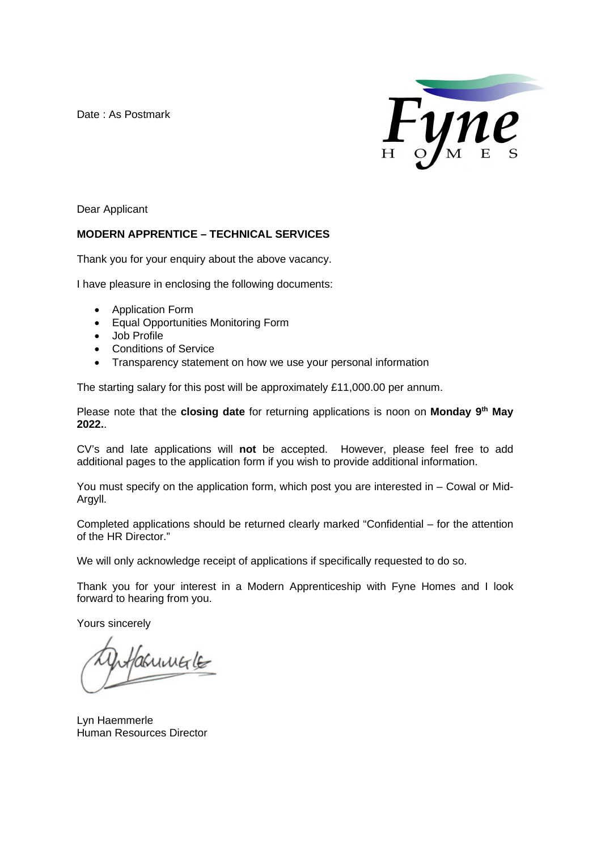Date : As Postmark



Dear Applicant

## **MODERN APPRENTICE – TECHNICAL SERVICES**

Thank you for your enquiry about the above vacancy.

I have pleasure in enclosing the following documents:

- Application Form
- Equal Opportunities Monitoring Form
- Job Profile
- Conditions of Service
- Transparency statement on how we use your personal information

The starting salary for this post will be approximately £11,000.00 per annum.

Please note that the **closing date** for returning applications is noon on **Monday 9th May 2022.**.

CV's and late applications will **not** be accepted. However, please feel free to add additional pages to the application form if you wish to provide additional information.

You must specify on the application form, which post you are interested in – Cowal or Mid-Argyll.

Completed applications should be returned clearly marked "Confidential – for the attention of the HR Director."

We will only acknowledge receipt of applications if specifically requested to do so.

Thank you for your interest in a Modern Apprenticeship with Fyne Homes and I look forward to hearing from you.

Yours sincerely

asumale

Lyn Haemmerle Human Resources Director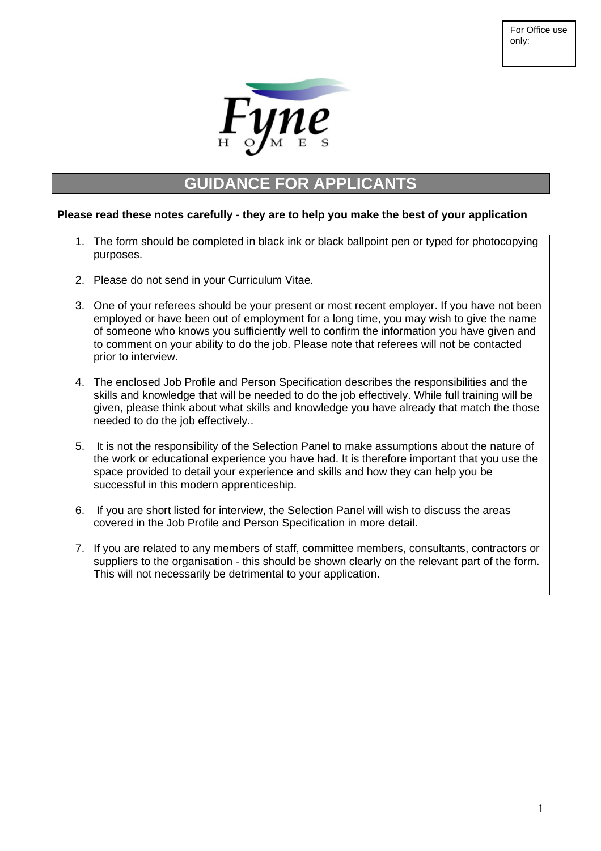For Office use only:



# **GUIDANCE FOR APPLICANTS**

## **Please read these notes carefully - they are to help you make the best of your application**

- 1. The form should be completed in black ink or black ballpoint pen or typed for photocopying purposes.
- 2. Please do not send in your Curriculum Vitae.
- 3. One of your referees should be your present or most recent employer. If you have not been employed or have been out of employment for a long time, you may wish to give the name of someone who knows you sufficiently well to confirm the information you have given and to comment on your ability to do the job. Please note that referees will not be contacted prior to interview.
- 4. The enclosed Job Profile and Person Specification describes the responsibilities and the skills and knowledge that will be needed to do the job effectively. While full training will be given, please think about what skills and knowledge you have already that match the those needed to do the job effectively..
- 5. It is not the responsibility of the Selection Panel to make assumptions about the nature of the work or educational experience you have had. It is therefore important that you use the space provided to detail your experience and skills and how they can help you be successful in this modern apprenticeship.
- 6. If you are short listed for interview, the Selection Panel will wish to discuss the areas covered in the Job Profile and Person Specification in more detail.
- 7. If you are related to any members of staff, committee members, consultants, contractors or suppliers to the organisation - this should be shown clearly on the relevant part of the form. This will not necessarily be detrimental to your application.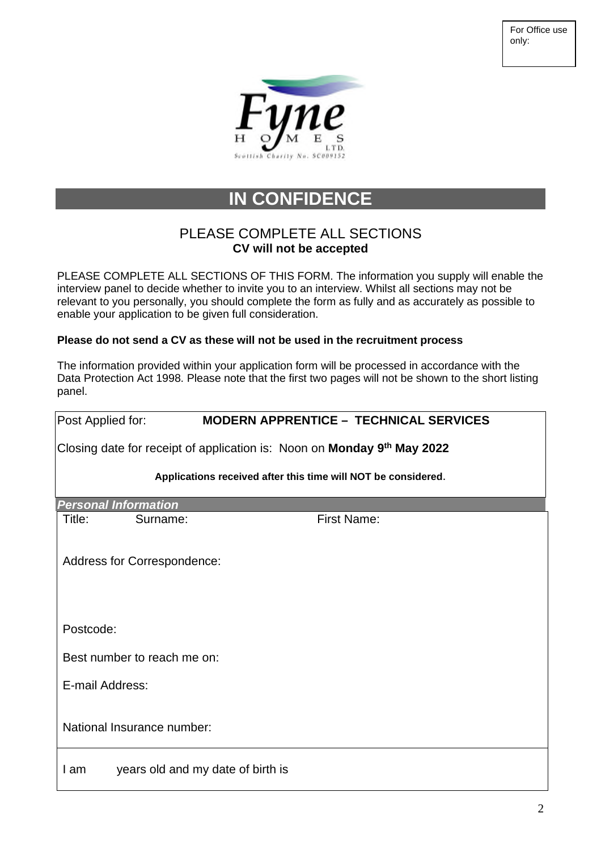For Office use only:



# **IN CONFIDENCE**

# PLEASE COMPLETE ALL SECTIONS **CV will not be accepted**

PLEASE COMPLETE ALL SECTIONS OF THIS FORM. The information you supply will enable the interview panel to decide whether to invite you to an interview. Whilst all sections may not be relevant to you personally, you should complete the form as fully and as accurately as possible to enable your application to be given full consideration.

# **Please do not send a CV as these will not be used in the recruitment process**

The information provided within your application form will be processed in accordance with the Data Protection Act 1998. Please note that the first two pages will not be shown to the short listing panel.

Post Applied for: **MODERN APPRENTICE – TECHNICAL SERVICES**

Closing date for receipt of application is: Noon on **Monday 9th May 2022**

# **Applications received after this time will NOT be considered**.

*Personal Information*

Title: Surname: First Name:

Address for Correspondence:

Postcode:

Best number to reach me on:

E-mail Address:

National Insurance number:

I am years old and my date of birth is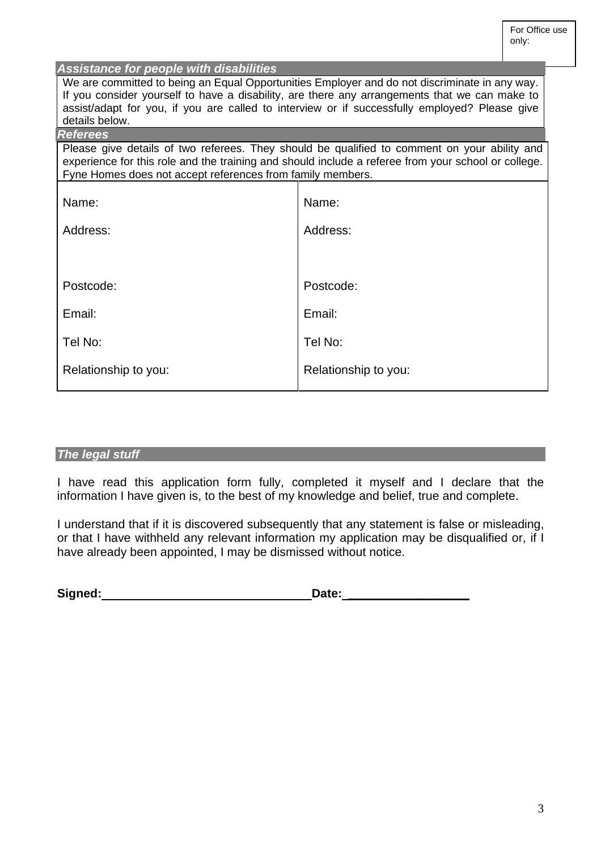| Assistance for people with disabilities                                                                                                                                                                                                                                                                           |                      |  |  |
|-------------------------------------------------------------------------------------------------------------------------------------------------------------------------------------------------------------------------------------------------------------------------------------------------------------------|----------------------|--|--|
| We are committed to being an Equal Opportunities Employer and do not discriminate in any way.<br>If you consider yourself to have a disability, are there any arrangements that we can make to<br>assist/adapt for you, if you are called to interview or if successfully employed? Please give<br>details below. |                      |  |  |
| <b>Referees</b>                                                                                                                                                                                                                                                                                                   |                      |  |  |
| Please give details of two referees. They should be qualified to comment on your ability and<br>experience for this role and the training and should include a referee from your school or college.<br>Fyne Homes does not accept references from family members.                                                 |                      |  |  |
| Name:                                                                                                                                                                                                                                                                                                             | Name:                |  |  |
| Address:                                                                                                                                                                                                                                                                                                          | Address:             |  |  |
|                                                                                                                                                                                                                                                                                                                   |                      |  |  |
| Postcode:                                                                                                                                                                                                                                                                                                         | Postcode:            |  |  |
| Email:                                                                                                                                                                                                                                                                                                            | Email:               |  |  |
| Tel No:                                                                                                                                                                                                                                                                                                           | Tel No:              |  |  |
| Relationship to you:                                                                                                                                                                                                                                                                                              | Relationship to you: |  |  |
|                                                                                                                                                                                                                                                                                                                   |                      |  |  |

# *The legal stuff*

I have read this application form fully, completed it myself and I declare that the information I have given is, to the best of my knowledge and belief, true and complete.

I understand that if it is discovered subsequently that any statement is false or misleading, or that I have withheld any relevant information my application may be disqualified or, if I have already been appointed, I may be dismissed without notice.

| Signed: | Date: |
|---------|-------|
|         |       |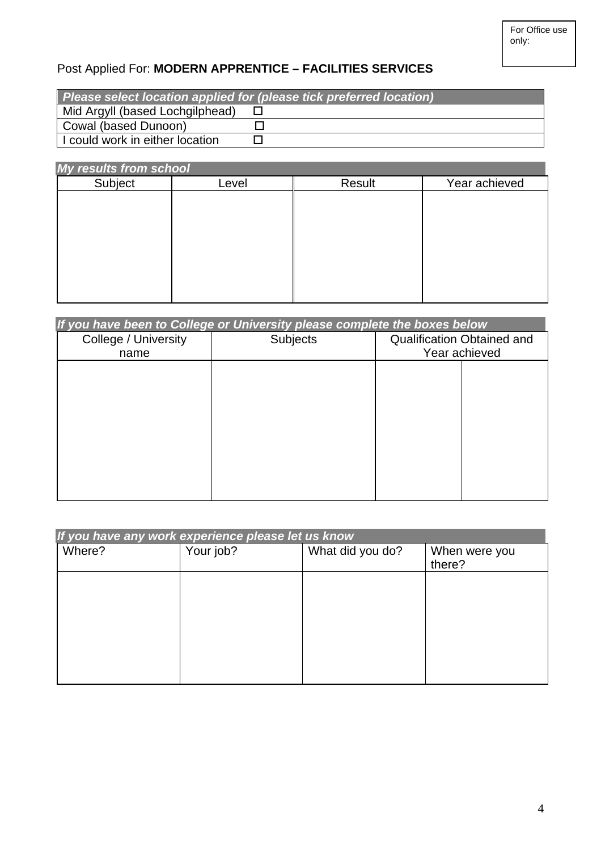# Post Applied For: **MODERN APPRENTICE – FACILITIES SERVICES**

*Please select location applied for (please tick preferred location)*

Mid Argyll (based Lochgilphead)  $\Box$ 

Cowal (based Dunoon)

I could work in either location  $\square$ 

| <b>My results from school</b> |        |               |  |  |  |  |
|-------------------------------|--------|---------------|--|--|--|--|
| Level                         | Result | Year achieved |  |  |  |  |
|                               |        |               |  |  |  |  |
|                               |        |               |  |  |  |  |
|                               |        |               |  |  |  |  |
|                               |        |               |  |  |  |  |
|                               |        |               |  |  |  |  |
|                               |        |               |  |  |  |  |
|                               |        |               |  |  |  |  |
|                               |        |               |  |  |  |  |
|                               |        |               |  |  |  |  |

| If you have been to College or University please complete the boxes below |                 |                                   |  |  |  |
|---------------------------------------------------------------------------|-----------------|-----------------------------------|--|--|--|
| College / University                                                      | <b>Subjects</b> | <b>Qualification Obtained and</b> |  |  |  |
| name                                                                      |                 | Year achieved                     |  |  |  |
|                                                                           |                 |                                   |  |  |  |
|                                                                           |                 |                                   |  |  |  |
|                                                                           |                 |                                   |  |  |  |
|                                                                           |                 |                                   |  |  |  |
|                                                                           |                 |                                   |  |  |  |
|                                                                           |                 |                                   |  |  |  |
|                                                                           |                 |                                   |  |  |  |
|                                                                           |                 |                                   |  |  |  |
|                                                                           |                 |                                   |  |  |  |

| If you have any work experience please let us know |           |                  |                         |  |  |  |
|----------------------------------------------------|-----------|------------------|-------------------------|--|--|--|
| Where?                                             | Your job? | What did you do? | When were you<br>there? |  |  |  |
|                                                    |           |                  |                         |  |  |  |
|                                                    |           |                  |                         |  |  |  |
|                                                    |           |                  |                         |  |  |  |
|                                                    |           |                  |                         |  |  |  |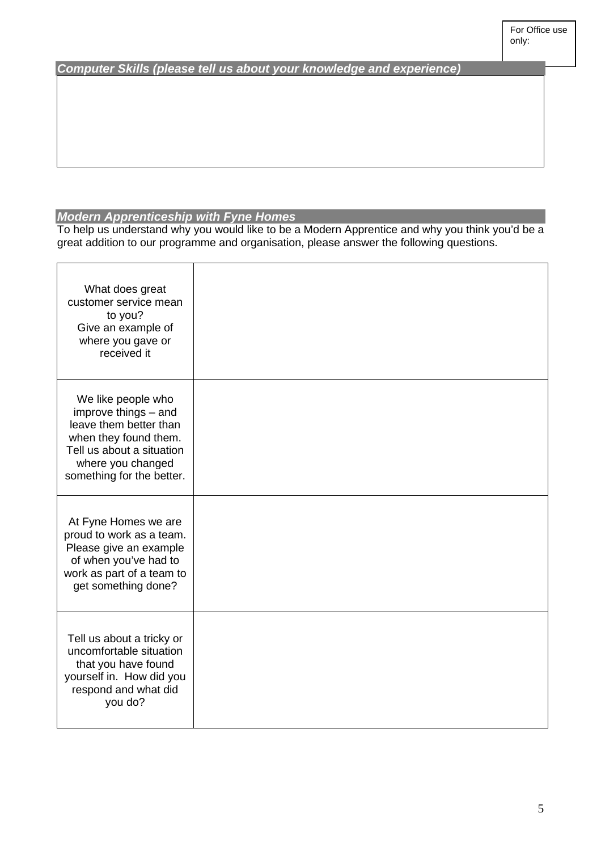For Office use only:

*Computer Skills (please tell us about your knowledge and experience)*

# *Modern Apprenticeship with Fyne Homes*

To help us understand why you would like to be a Modern Apprentice and why you think you'd be a great addition to our programme and organisation, please answer the following questions.

| What does great<br>customer service mean<br>to you?<br>Give an example of<br>where you gave or<br>received it                                                                |  |
|------------------------------------------------------------------------------------------------------------------------------------------------------------------------------|--|
| We like people who<br>improve things - and<br>leave them better than<br>when they found them.<br>Tell us about a situation<br>where you changed<br>something for the better. |  |
| At Fyne Homes we are<br>proud to work as a team.<br>Please give an example<br>of when you've had to<br>work as part of a team to<br>get something done?                      |  |
| Tell us about a tricky or<br>uncomfortable situation<br>that you have found<br>yourself in. How did you<br>respond and what did<br>you do?                                   |  |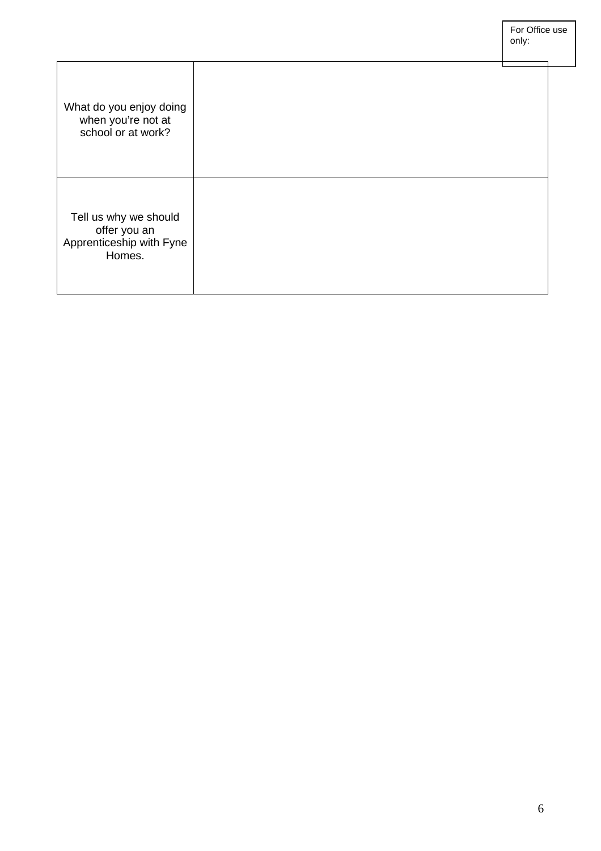|                                                                             | For Office use<br>only: |  |
|-----------------------------------------------------------------------------|-------------------------|--|
| What do you enjoy doing<br>when you're not at<br>school or at work?         |                         |  |
| Tell us why we should<br>offer you an<br>Apprenticeship with Fyne<br>Homes. |                         |  |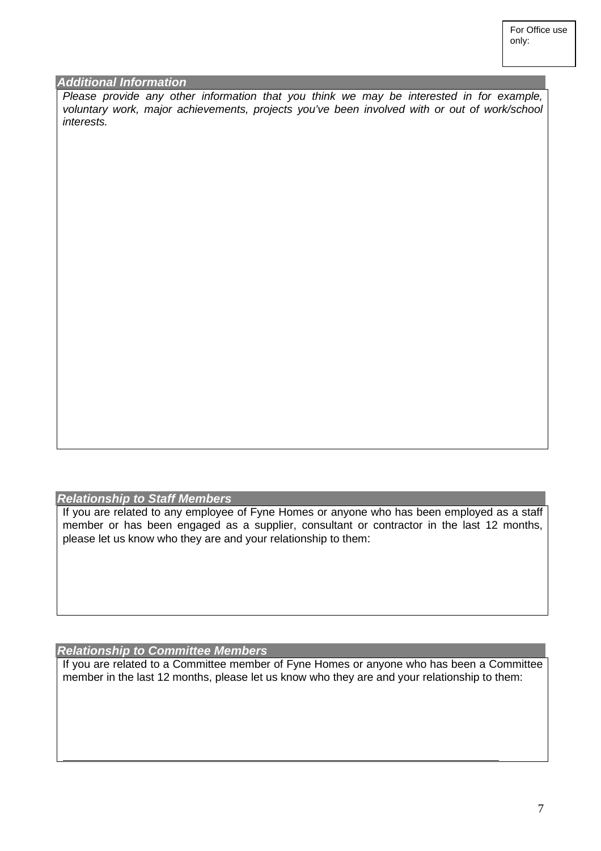## *Additional Information*

*Please provide any other information that you think we may be interested in for example, voluntary work, major achievements, projects you've been involved with or out of work/school interests.*

*Relationship to Staff Members*

If you are related to any employee of Fyne Homes or anyone who has been employed as a staff member or has been engaged as a supplier, consultant or contractor in the last 12 months, please let us know who they are and your relationship to them:

*Relationship to Committee Members*

If you are related to a Committee member of Fyne Homes or anyone who has been a Committee member in the last 12 months, please let us know who they are and your relationship to them: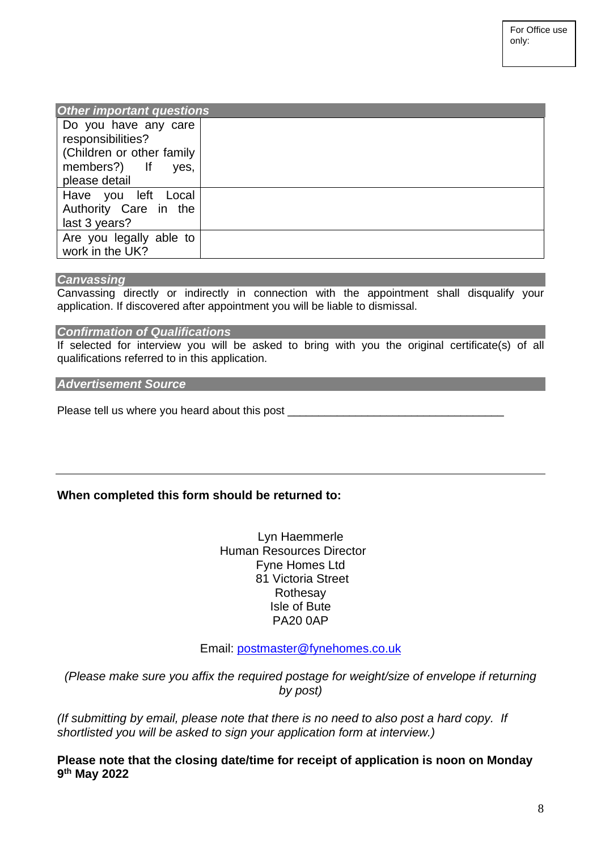| <b>Other important questions</b>               |  |  |  |
|------------------------------------------------|--|--|--|
| Do you have any care                           |  |  |  |
| responsibilities?<br>(Children or other family |  |  |  |
| members?) If<br>yes,                           |  |  |  |
| please detail                                  |  |  |  |
| Have you left Local                            |  |  |  |
| Authority Care in the                          |  |  |  |
| last 3 years?                                  |  |  |  |
| Are you legally able to                        |  |  |  |
| work in the UK?                                |  |  |  |

#### *Canvassing*

Canvassing directly or indirectly in connection with the appointment shall disqualify your application. If discovered after appointment you will be liable to dismissal.

#### *Confirmation of Qualifications*

If selected for interview you will be asked to bring with you the original certificate(s) of all qualifications referred to in this application.

#### *Advertisement Source*

Please tell us where you heard about this post \_

## **When completed this form should be returned to:**

Lyn Haemmerle Human Resources Director Fyne Homes Ltd 81 Victoria Street Rothesay Isle of Bute PA20 0AP

Email: postmaster@fynehomes.co.uk

*(Please make sure you affix the required postage for weight/size of envelope if returning by post)*

*(If submitting by email, please note that there is no need to also post a hard copy. If shortlisted you will be asked to sign your application form at interview.)*

**Please note that the closing date/time for receipt of application is noon on Monday 9 th May 2022**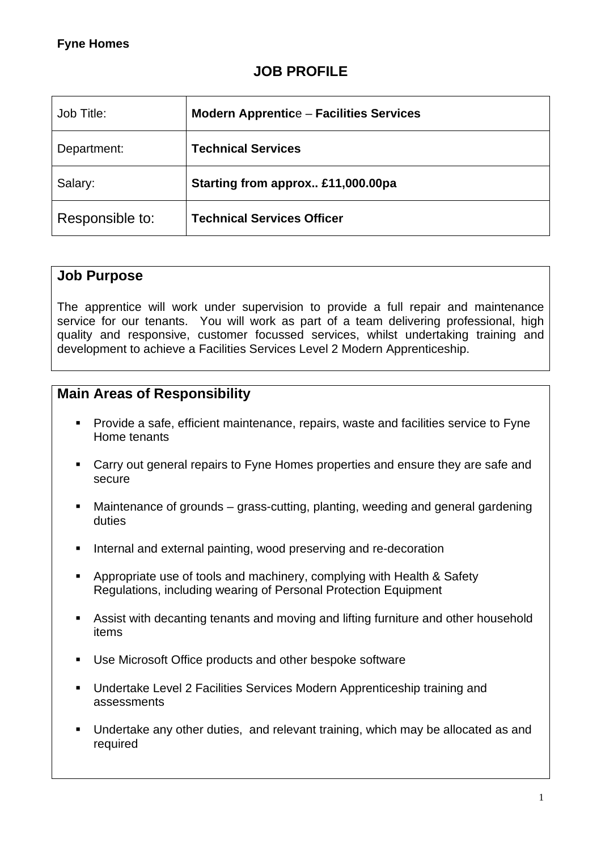# **JOB PROFILE**

| Job Title:      | <b>Modern Apprentice - Facilities Services</b> |
|-----------------|------------------------------------------------|
| Department:     | <b>Technical Services</b>                      |
| Salary:         | Starting from approx £11,000.00pa              |
| Responsible to: | <b>Technical Services Officer</b>              |

# **Job Purpose**

The apprentice will work under supervision to provide a full repair and maintenance service for our tenants. You will work as part of a team delivering professional, high quality and responsive, customer focussed services, whilst undertaking training and development to achieve a Facilities Services Level 2 Modern Apprenticeship.

# **Main Areas of Responsibility**

- Provide a safe, efficient maintenance, repairs, waste and facilities service to Fyne Home tenants
- Carry out general repairs to Fyne Homes properties and ensure they are safe and secure
- Maintenance of grounds grass-cutting, planting, weeding and general gardening duties
- Internal and external painting, wood preserving and re-decoration
- Appropriate use of tools and machinery, complying with Health & Safety Regulations, including wearing of Personal Protection Equipment
- Assist with decanting tenants and moving and lifting furniture and other household items
- Use Microsoft Office products and other bespoke software
- Undertake Level 2 Facilities Services Modern Apprenticeship training and assessments
- Undertake any other duties, and relevant training, which may be allocated as and required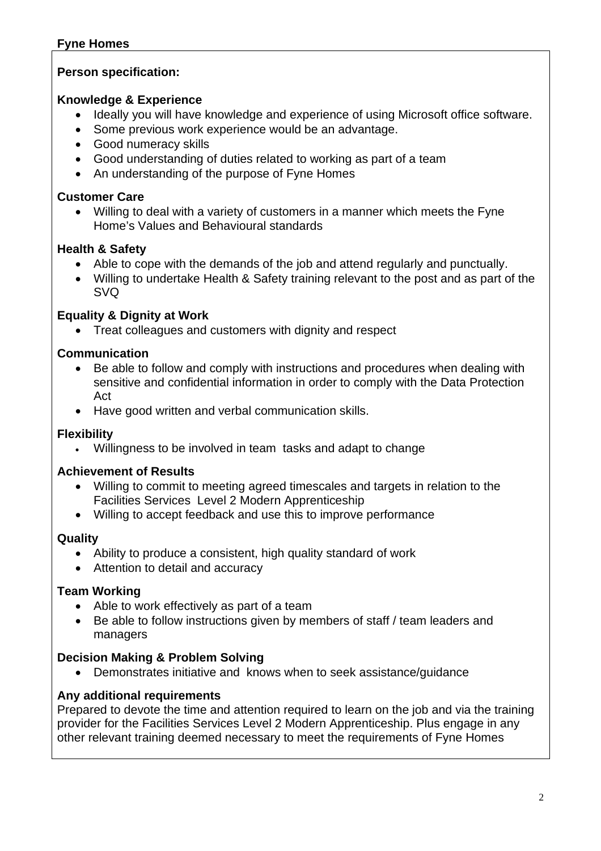# **Fyne Homes**

# **Person specification:**

# **Knowledge & Experience**

- Ideally you will have knowledge and experience of using Microsoft office software.
- Some previous work experience would be an advantage.
- Good numeracy skills
- Good understanding of duties related to working as part of a team
- An understanding of the purpose of Fyne Homes

# **Customer Care**

 Willing to deal with a variety of customers in a manner which meets the Fyne Home's Values and Behavioural standards

# **Health & Safety**

- Able to cope with the demands of the job and attend regularly and punctually.
- Willing to undertake Health & Safety training relevant to the post and as part of the SVQ

# **Equality & Dignity at Work**

• Treat colleagues and customers with dignity and respect

# **Communication**

- Be able to follow and comply with instructions and procedures when dealing with sensitive and confidential information in order to comply with the Data Protection Act
- Have good written and verbal communication skills.

# **Flexibility**

Willingness to be involved in team tasks and adapt to change

# **Achievement of Results**

- Willing to commit to meeting agreed timescales and targets in relation to the Facilities Services Level 2 Modern Apprenticeship
- Willing to accept feedback and use this to improve performance

# **Quality**

- Ability to produce a consistent, high quality standard of work
- Attention to detail and accuracy

# **Team Working**

- Able to work effectively as part of a team
- Be able to follow instructions given by members of staff / team leaders and managers

# **Decision Making & Problem Solving**

Demonstrates initiative and knows when to seek assistance/guidance

# **Any additional requirements**

Prepared to devote the time and attention required to learn on the job and via the training provider for the Facilities Services Level 2 Modern Apprenticeship. Plus engage in any other relevant training deemed necessary to meet the requirements of Fyne Homes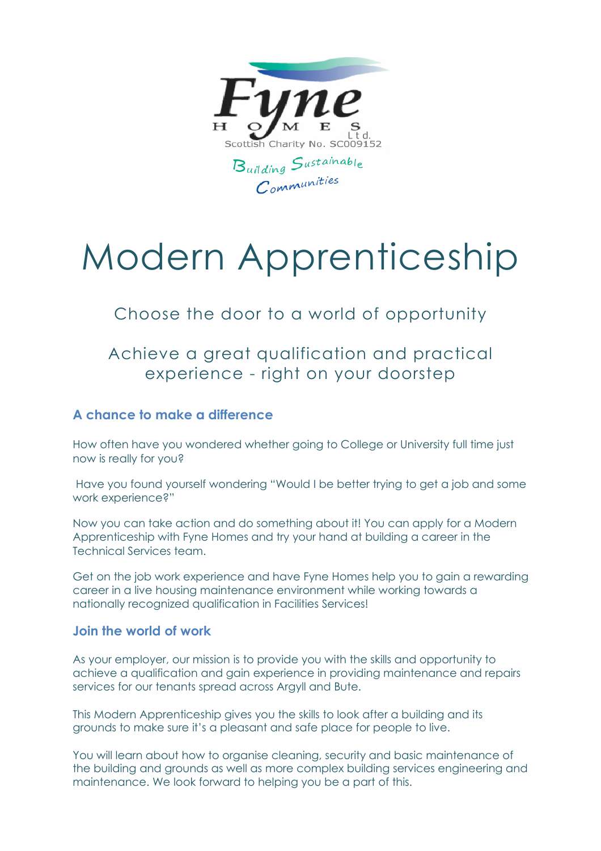

# Modern Apprenticeship

Choose the door to a world of opportunity

# Achieve a great qualification and practical experience - right on your doorstep

# **A chance to make a difference**

How often have you wondered whether going to College or University full time just now is really for you?

Have you found yourself wondering "Would I be better trying to get a job and some work experience?"

Now you can take action and do something about it! You can apply for a Modern Apprenticeship with Fyne Homes and try your hand at building a career in the Technical Services team.

Get on the job work experience and have Fyne Homes help you to gain a rewarding career in a live housing maintenance environment while working towards a nationally recognized qualification in Facilities Services!

# **Join the world of work**

As your employer, our mission is to provide you with the skills and opportunity to achieve a qualification and gain experience in providing maintenance and repairs services for our tenants spread across Argyll and Bute.

This Modern Apprenticeship gives you the skills to look after a building and its grounds to make sure it's a pleasant and safe place for people to live.

You will learn about how to organise cleaning, security and basic maintenance of the building and grounds as well as more complex building services engineering and maintenance. We look forward to helping you be a part of this.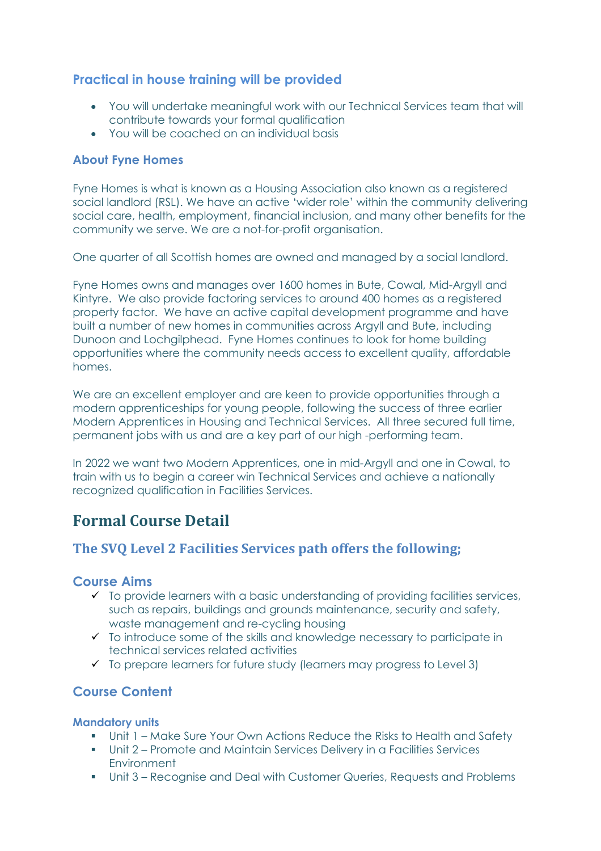# **Practical in house training will be provided**

- You will undertake meaningful work with our Technical Services team that will contribute towards your formal qualification
- You will be coached on an individual basis

# **About Fyne Homes**

Fyne Homes is what is known as a Housing Association also known as a registered social landlord (RSL). We have an active 'wider role' within the community delivering social care, health, employment, financial inclusion, and many other benefits for the community we serve. We are a not-for-profit organisation.

One quarter of all Scottish homes are owned and managed by a social landlord.

Fyne Homes owns and manages over 1600 homes in Bute, Cowal, Mid-Argyll and Kintyre. We also provide factoring services to around 400 homes as a registered property factor. We have an active capital development programme and have built a number of new homes in communities across Argyll and Bute, including Dunoon and Lochgilphead. Fyne Homes continues to look for home building opportunities where the community needs access to excellent quality, affordable homes.

We are an excellent employer and are keen to provide opportunities through a modern apprenticeships for young people, following the success of three earlier Modern Apprentices in Housing and Technical Services. All three secured full time, permanent jobs with us and are a key part of our high -performing team.

In 2022 we want two Modern Apprentices, one in mid-Argyll and one in Cowal, to train with us to begin a career win Technical Services and achieve a nationally recognized qualification in Facilities Services.

# **Formal Course Detail**

# **The SVQ Level 2 Facilities Services path offers the following;**

# **Course Aims**

- $\checkmark$  To provide learners with a basic understanding of providing facilities services, such as repairs, buildings and grounds maintenance, security and safety, waste management and re-cycling housing
- $\checkmark$  To introduce some of the skills and knowledge necessary to participate in technical services related activities
- $\checkmark$  To prepare learners for future study (learners may progress to Level 3)

# **Course Content**

# **Mandatory units**

- Unit 1 Make Sure Your Own Actions Reduce the Risks to Health and Safety
- Unit 2 Promote and Maintain Services Delivery in a Facilities Services Environment
- Unit 3 Recognise and Deal with Customer Queries, Requests and Problems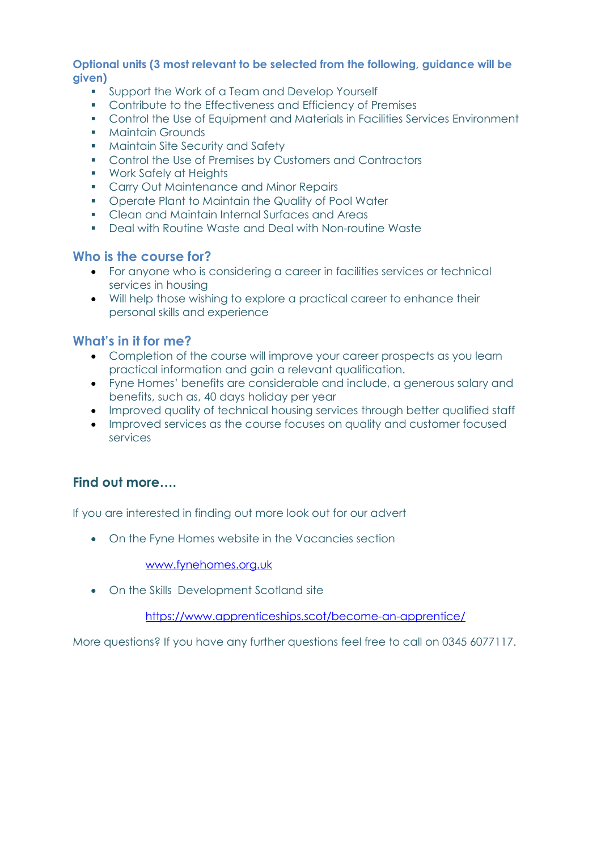## **Optional units (3 most relevant to be selected from the following, guidance will be given)**

- **Support the Work of a Team and Develop Yourself**
- **EXECONTRIBUTE:** Contribute to the Effectiveness and Efficiency of Premises
- Control the Use of Equipment and Materials in Facilities Services Environment
- **Maintain Grounds**
- **Maintain Site Security and Safety**
- **Control the Use of Premises by Customers and Contractors**
- **Work Safely at Heights**
- **Carry Out Maintenance and Minor Repairs**
- Operate Plant to Maintain the Quality of Pool Water
- **Clean and Maintain Internal Surfaces and Areas**
- Deal with Routine Waste and Deal with Non-routine Waste

# **Who is the course for?**

- For anyone who is considering a career in facilities services or technical services in housing
- Will help those wishing to explore a practical career to enhance their personal skills and experience

# **What's in it for me?**

- Completion of the course will improve your career prospects as you learn practical information and gain a relevant qualification.
- Fyne Homes' benefits are considerable and include, a generous salary and benefits, such as, 40 days holiday per year
- Improved quality of technical housing services through better qualified staff
- Improved services as the course focuses on quality and customer focused services

# **Find out more….**

If you are interested in finding out more look out for our advert

On the Fyne Homes website in the Vacancies section

www.fynehomes.org.uk

On the Skills Development Scotland site

https://www.apprenticeships.scot/become-an-apprentice/

More questions? If you have any further questions feel free to call on 0345 6077117.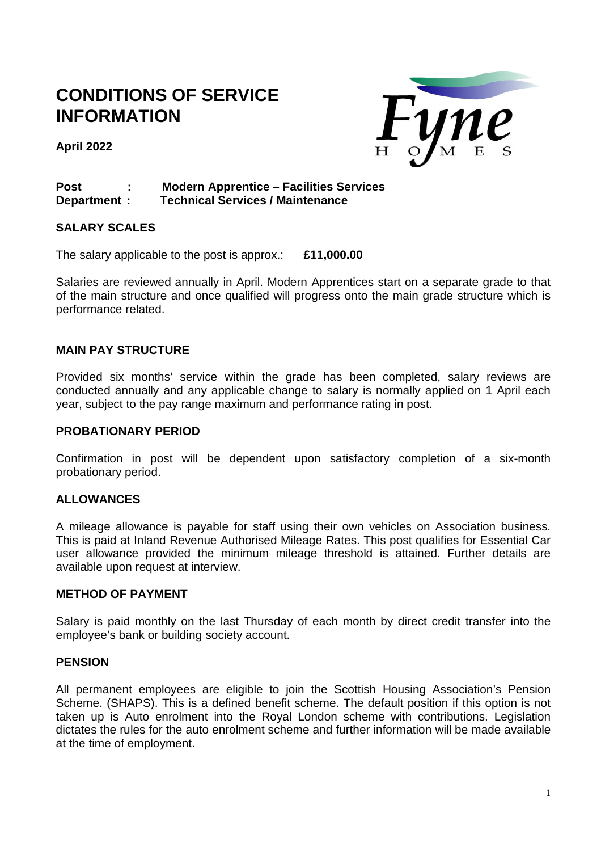# **CONDITIONS OF SERVICE INFORMATION**

**April 2022**



# **Post : Modern Apprentice – Facilities Services Department : Technical Services / Maintenance**

## **SALARY SCALES**

The salary applicable to the post is approx.: **£11,000.00**

Salaries are reviewed annually in April. Modern Apprentices start on a separate grade to that of the main structure and once qualified will progress onto the main grade structure which is performance related.

## **MAIN PAY STRUCTURE**

Provided six months' service within the grade has been completed, salary reviews are conducted annually and any applicable change to salary is normally applied on 1 April each year, subject to the pay range maximum and performance rating in post.

## **PROBATIONARY PERIOD**

Confirmation in post will be dependent upon satisfactory completion of a six-month probationary period.

## **ALLOWANCES**

A mileage allowance is payable for staff using their own vehicles on Association business. This is paid at Inland Revenue Authorised Mileage Rates. This post qualifies for Essential Car user allowance provided the minimum mileage threshold is attained. Further details are available upon request at interview.

## **METHOD OF PAYMENT**

Salary is paid monthly on the last Thursday of each month by direct credit transfer into the employee's bank or building society account.

## **PENSION**

All permanent employees are eligible to join the Scottish Housing Association's Pension Scheme. (SHAPS). This is a defined benefit scheme. The default position if this option is not taken up is Auto enrolment into the Royal London scheme with contributions. Legislation dictates the rules for the auto enrolment scheme and further information will be made available at the time of employment.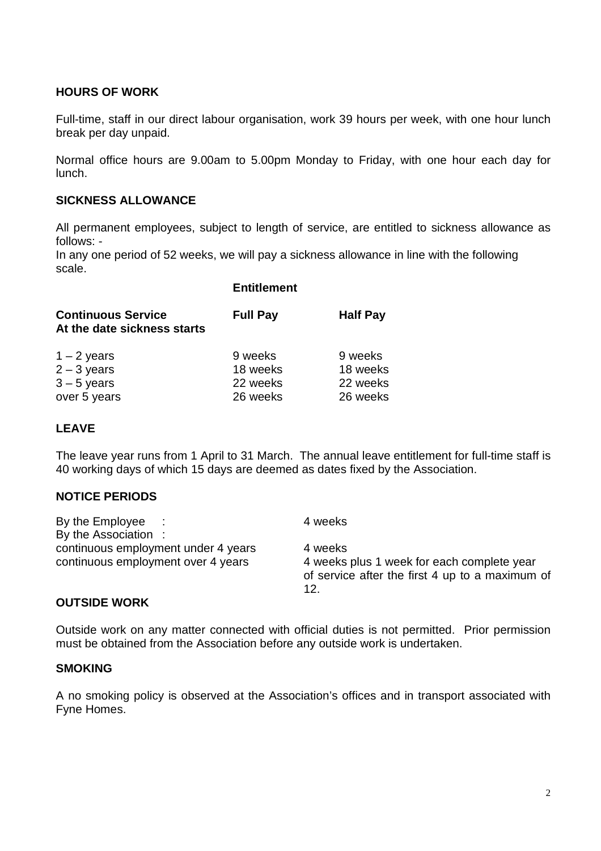# **HOURS OF WORK**

Full-time, staff in our direct labour organisation, work 39 hours per week, with one hour lunch break per day unpaid.

Normal office hours are 9.00am to 5.00pm Monday to Friday, with one hour each day for lunch.

# **SICKNESS ALLOWANCE**

All permanent employees, subject to length of service, are entitled to sickness allowance as follows: -

In any one period of 52 weeks, we will pay a sickness allowance in line with the following scale.

|                                                                 | <b>Entitlement</b>                          |                                             |
|-----------------------------------------------------------------|---------------------------------------------|---------------------------------------------|
| <b>Continuous Service</b><br>At the date sickness starts        | <b>Full Pay</b>                             | <b>Half Pay</b>                             |
| $1 - 2$ years<br>$2 - 3$ years<br>$3 - 5$ years<br>over 5 years | 9 weeks<br>18 weeks<br>22 weeks<br>26 weeks | 9 weeks<br>18 weeks<br>22 weeks<br>26 weeks |

# **LEAVE**

The leave year runs from 1 April to 31 March. The annual leave entitlement for full-time staff is 40 working days of which 15 days are deemed as dates fixed by the Association.

# **NOTICE PERIODS**

| By the Employee                                                           | 4 weeks                                                                                                         |
|---------------------------------------------------------------------------|-----------------------------------------------------------------------------------------------------------------|
| By the Association:                                                       |                                                                                                                 |
| continuous employment under 4 years<br>continuous employment over 4 years | 4 weeks<br>4 weeks plus 1 week for each complete year<br>of service after the first 4 up to a maximum of<br>12. |

# **OUTSIDE WORK**

Outside work on any matter connected with official duties is not permitted. Prior permission must be obtained from the Association before any outside work is undertaken.

## **SMOKING**

A no smoking policy is observed at the Association's offices and in transport associated with Fyne Homes.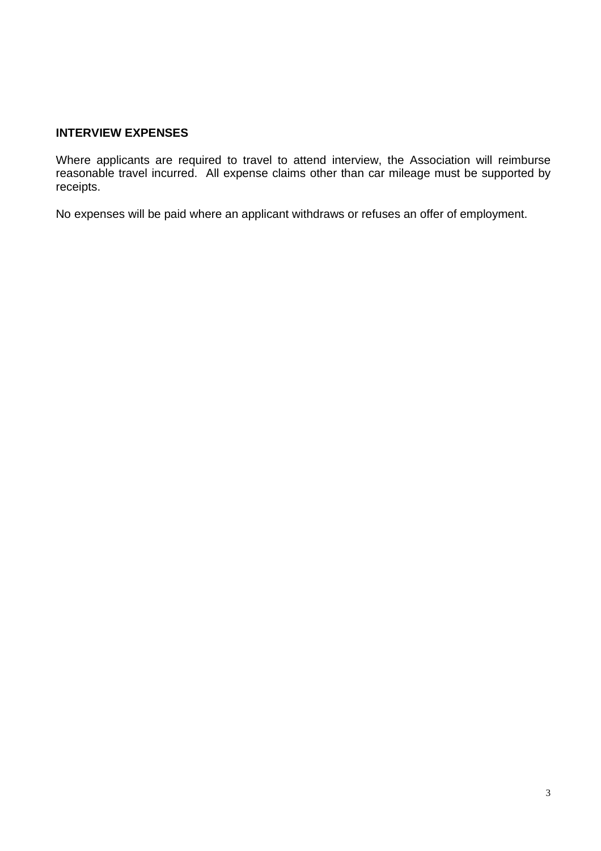# **INTERVIEW EXPENSES**

Where applicants are required to travel to attend interview, the Association will reimburse reasonable travel incurred. All expense claims other than car mileage must be supported by receipts.

No expenses will be paid where an applicant withdraws or refuses an offer of employment.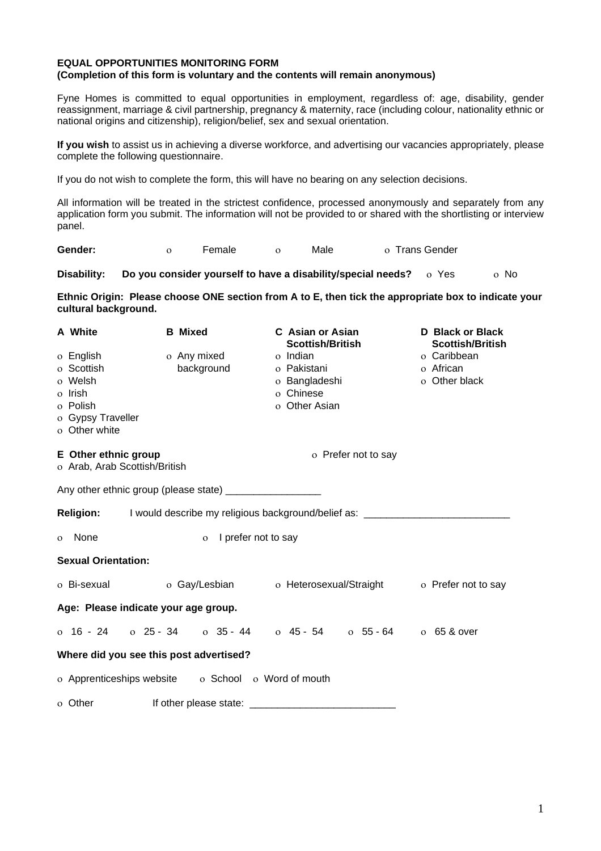#### **EQUAL OPPORTUNITIES MONITORING FORM**

#### **(Completion of this form is voluntary and the contents will remain anonymous)**

Fyne Homes is committed to equal opportunities in employment, regardless of: age, disability, gender reassignment, marriage & civil partnership, pregnancy & maternity, race (including colour, nationality ethnic or national origins and citizenship), religion/belief, sex and sexual orientation.

**If you wish** to assist us in achieving a diverse workforce, and advertising our vacancies appropriately, please complete the following questionnaire.

If you do not wish to complete the form, this will have no bearing on any selection decisions.

All information will be treated in the strictest confidence, processed anonymously and separately from any application form you submit. The information will not be provided to or shared with the shortlisting or interview panel.

**Gender:**  $\circ$  Female  $\circ$  Male  $\circ$  Trans Gender

**Disability:** Do you consider yourself to have a disability/special needs? o Yes only No

**Ethnic Origin: Please choose ONE section from A to E, then tick the appropriate box to indicate your cultural background.**

|                                         | A White                                                                           |  | <b>B</b> Mixed                                            | <b>C</b> Asian or Asian<br><b>Scottish/British</b>            |  | <b>D</b> Black or Black<br><b>Scottish/British</b> |
|-----------------------------------------|-----------------------------------------------------------------------------------|--|-----------------------------------------------------------|---------------------------------------------------------------|--|----------------------------------------------------|
|                                         | o English                                                                         |  | o Any mixed                                               | o Indian                                                      |  | o Caribbean                                        |
|                                         | o Scottish                                                                        |  | background                                                | o Pakistani                                                   |  | o African                                          |
|                                         | o Welsh                                                                           |  |                                                           | o Bangladeshi                                                 |  | o Other black                                      |
|                                         | o Irish                                                                           |  |                                                           | o Chinese                                                     |  |                                                    |
|                                         | o Polish                                                                          |  |                                                           | o Other Asian                                                 |  |                                                    |
|                                         | o Gypsy Traveller                                                                 |  |                                                           |                                                               |  |                                                    |
|                                         | o Other white                                                                     |  |                                                           |                                                               |  |                                                    |
|                                         | E Other ethnic group                                                              |  |                                                           | o Prefer not to say                                           |  |                                                    |
|                                         | o Arab, Arab Scottish/British                                                     |  |                                                           |                                                               |  |                                                    |
|                                         |                                                                                   |  | Any other ethnic group (please state) ___________________ |                                                               |  |                                                    |
|                                         | Religion: I would describe my religious background/belief as: ___________________ |  |                                                           |                                                               |  |                                                    |
| $\Omega$                                | None                                                                              |  | I prefer not to say<br>$\Omega$                           |                                                               |  |                                                    |
|                                         | <b>Sexual Orientation:</b>                                                        |  |                                                           |                                                               |  |                                                    |
|                                         | o Bi-sexual                                                                       |  |                                                           | o Gay/Lesbian b Heterosexual/Straight b Prefer not to say     |  |                                                    |
| Age: Please indicate your age group.    |                                                                                   |  |                                                           |                                                               |  |                                                    |
|                                         |                                                                                   |  |                                                           | o 16 - 24 o 25 - 34 o 35 - 44 o 45 - 54 o 55 - 64 o 65 & over |  |                                                    |
| Where did you see this post advertised? |                                                                                   |  |                                                           |                                                               |  |                                                    |
|                                         |                                                                                   |  | o Apprenticeships website o School o Word of mouth        |                                                               |  |                                                    |
|                                         | o Other                                                                           |  |                                                           |                                                               |  |                                                    |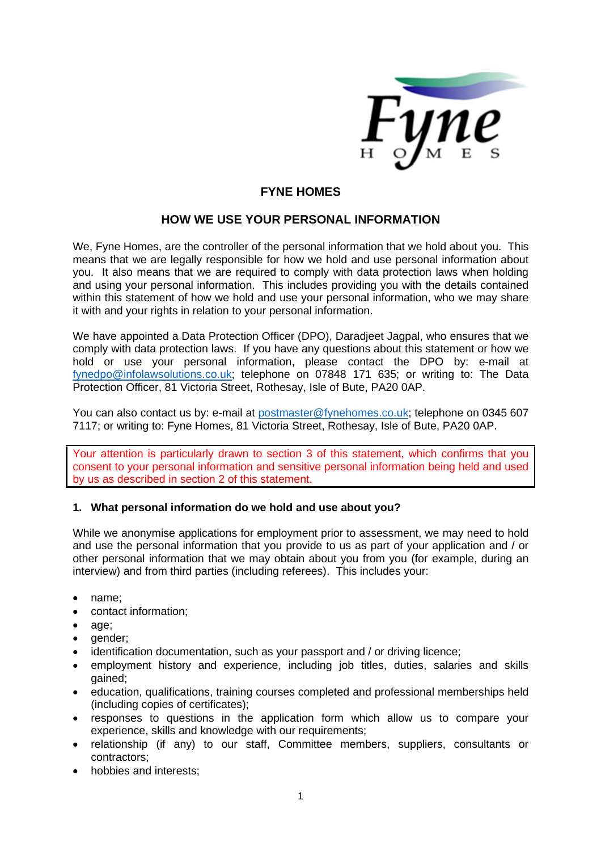

# **FYNE HOMES**

# **HOW WE USE YOUR PERSONAL INFORMATION**

We, Fyne Homes, are the controller of the personal information that we hold about you. This means that we are legally responsible for how we hold and use personal information about you. It also means that we are required to comply with data protection laws when holding and using your personal information. This includes providing you with the details contained within this statement of how we hold and use your personal information, who we may share it with and your rights in relation to your personal information.

We have appointed a Data Protection Officer (DPO), Daradjeet Jagpal, who ensures that we comply with data protection laws. If you have any questions about this statement or how we hold or use your personal information, please contact the DPO by: e-mail at fynedpo@infolawsolutions.co.uk; telephone on 07848 171 635; or writing to: The Data Protection Officer, 81 Victoria Street, Rothesay, Isle of Bute, PA20 0AP.

You can also contact us by: e-mail at postmaster@fynehomes.co.uk; telephone on 0345 607 7117; or writing to: Fyne Homes, 81 Victoria Street, Rothesay, Isle of Bute, PA20 0AP.

Your attention is particularly drawn to section 3 of this statement, which confirms that you consent to your personal information and sensitive personal information being held and used by us as described in section 2 of this statement.

## **1. What personal information do we hold and use about you?**

While we anonymise applications for employment prior to assessment, we may need to hold and use the personal information that you provide to us as part of your application and / or other personal information that we may obtain about you from you (for example, during an interview) and from third parties (including referees). This includes your:

- name;
- contact information;
- age;
- gender;
- identification documentation, such as your passport and / or driving licence;
- employment history and experience, including job titles, duties, salaries and skills gained;
- education, qualifications, training courses completed and professional memberships held (including copies of certificates);
- responses to questions in the application form which allow us to compare your experience, skills and knowledge with our requirements;
- relationship (if any) to our staff, Committee members, suppliers, consultants or contractors;
- hobbies and interests: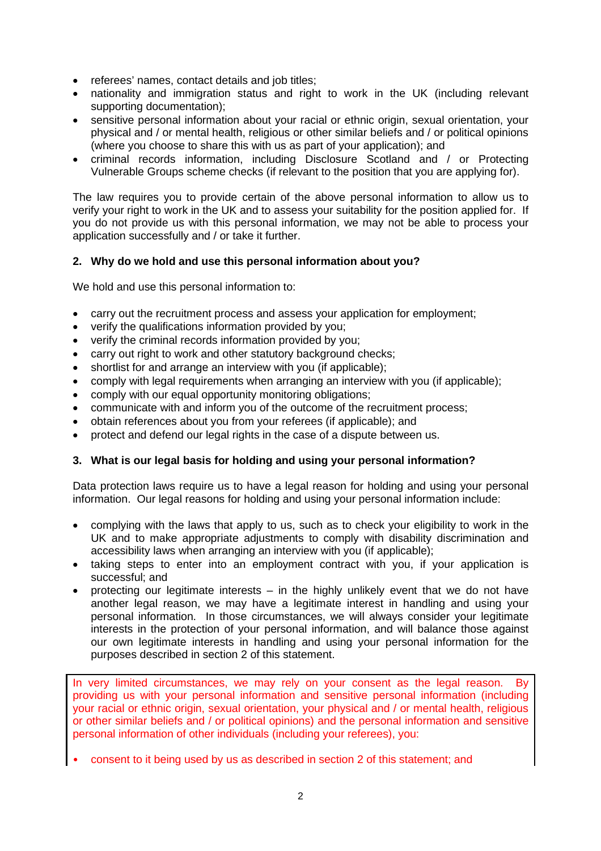- referees' names, contact details and job titles;
- nationality and immigration status and right to work in the UK (including relevant supporting documentation);
- sensitive personal information about your racial or ethnic origin, sexual orientation, your physical and / or mental health, religious or other similar beliefs and / or political opinions (where you choose to share this with us as part of your application); and
- criminal records information, including Disclosure Scotland and / or Protecting Vulnerable Groups scheme checks (if relevant to the position that you are applying for).

The law requires you to provide certain of the above personal information to allow us to verify your right to work in the UK and to assess your suitability for the position applied for. If you do not provide us with this personal information, we may not be able to process your application successfully and / or take it further.

## **2. Why do we hold and use this personal information about you?**

We hold and use this personal information to:

- carry out the recruitment process and assess your application for employment;
- verify the qualifications information provided by you;
- verify the criminal records information provided by you;
- carry out right to work and other statutory background checks;
- shortlist for and arrange an interview with you (if applicable);
- comply with legal requirements when arranging an interview with you (if applicable);
- comply with our equal opportunity monitoring obligations;
- communicate with and inform you of the outcome of the recruitment process;
- obtain references about you from your referees (if applicable); and
- protect and defend our legal rights in the case of a dispute between us.

## **3. What is our legal basis for holding and using your personal information?**

Data protection laws require us to have a legal reason for holding and using your personal information. Our legal reasons for holding and using your personal information include:

- complying with the laws that apply to us, such as to check your eligibility to work in the UK and to make appropriate adjustments to comply with disability discrimination and accessibility laws when arranging an interview with you (if applicable);
- taking steps to enter into an employment contract with you, if your application is successful; and
- protecting our legitimate interests in the highly unlikely event that we do not have another legal reason, we may have a legitimate interest in handling and using your personal information. In those circumstances, we will always consider your legitimate interests in the protection of your personal information, and will balance those against our own legitimate interests in handling and using your personal information for the purposes described in section 2 of this statement.

In very limited circumstances, we may rely on your consent as the legal reason. By providing us with your personal information and sensitive personal information (including your racial or ethnic origin, sexual orientation, your physical and / or mental health, religious or other similar beliefs and / or political opinions) and the personal information and sensitive personal information of other individuals (including your referees), you:

• consent to it being used by us as described in section 2 of this statement; and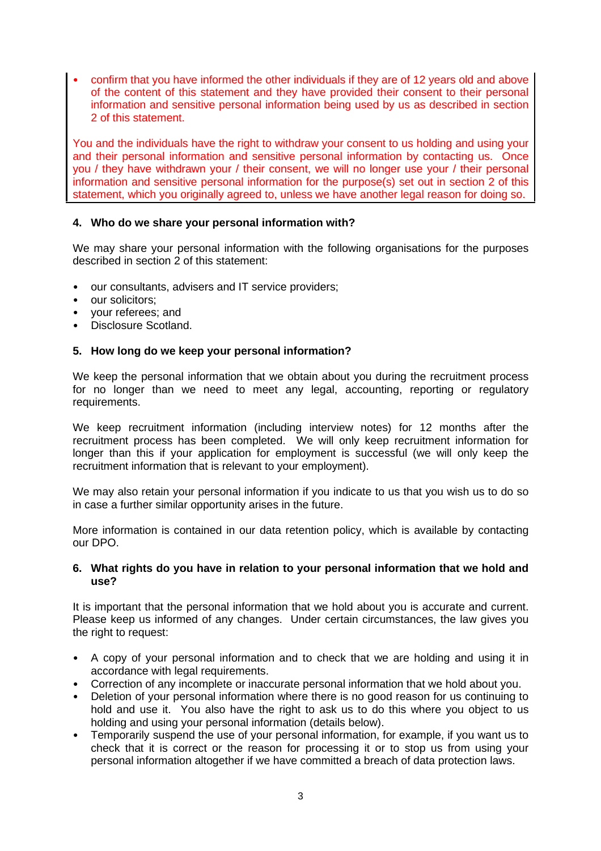• confirm that you have informed the other individuals if they are of 12 years old and above of the content of this statement and they have provided their consent to their personal information and sensitive personal information being used by us as described in section 2 of this statement.

You and the individuals have the right to withdraw your consent to us holding and using your and their personal information and sensitive personal information by contacting us. Once you / they have withdrawn your / their consent, we will no longer use your / their personal information and sensitive personal information for the purpose(s) set out in section 2 of this statement, which you originally agreed to, unless we have another legal reason for doing so.

## **4. Who do we share your personal information with?**

We may share your personal information with the following organisations for the purposes described in section 2 of this statement:

- our consultants, advisers and IT service providers;
- our solicitors;
- your referees; and
- Disclosure Scotland.

## **5. How long do we keep your personal information?**

We keep the personal information that we obtain about you during the recruitment process for no longer than we need to meet any legal, accounting, reporting or regulatory requirements.

We keep recruitment information (including interview notes) for 12 months after the recruitment process has been completed. We will only keep recruitment information for longer than this if your application for employment is successful (we will only keep the recruitment information that is relevant to your employment).

We may also retain your personal information if you indicate to us that you wish us to do so in case a further similar opportunity arises in the future.

More information is contained in our data retention policy, which is available by contacting our DPO.

## **6. What rights do you have in relation to your personal information that we hold and use?**

It is important that the personal information that we hold about you is accurate and current. Please keep us informed of any changes. Under certain circumstances, the law gives you the right to request:

- A copy of your personal information and to check that we are holding and using it in accordance with legal requirements.
- Correction of any incomplete or inaccurate personal information that we hold about you.
- Deletion of your personal information where there is no good reason for us continuing to hold and use it. You also have the right to ask us to do this where you object to us holding and using your personal information (details below).
- Temporarily suspend the use of your personal information, for example, if you want us to check that it is correct or the reason for processing it or to stop us from using your personal information altogether if we have committed a breach of data protection laws.